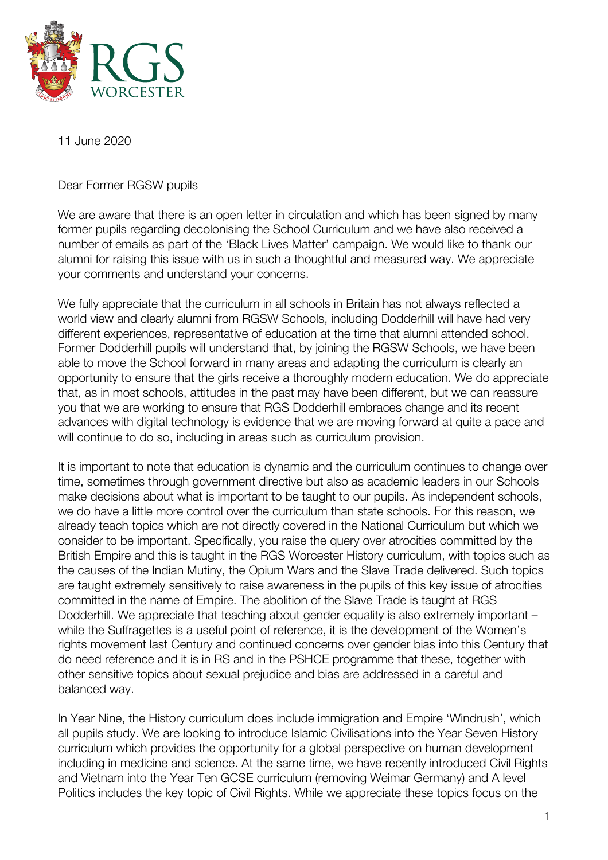

## 11 June 2020

Dear Former RGSW pupils

We are aware that there is an open letter in circulation and which has been signed by many former pupils regarding decolonising the School Curriculum and we have also received a number of emails as part of the 'Black Lives Matter' campaign. We would like to thank our alumni for raising this issue with us in such a thoughtful and measured way. We appreciate your comments and understand your concerns.

We fully appreciate that the curriculum in all schools in Britain has not always reflected a world view and clearly alumni from RGSW Schools, including Dodderhill will have had very different experiences, representative of education at the time that alumni attended school. Former Dodderhill pupils will understand that, by joining the RGSW Schools, we have been able to move the School forward in many areas and adapting the curriculum is clearly an opportunity to ensure that the girls receive a thoroughly modern education. We do appreciate that, as in most schools, attitudes in the past may have been different, but we can reassure you that we are working to ensure that RGS Dodderhill embraces change and its recent advances with digital technology is evidence that we are moving forward at quite a pace and will continue to do so, including in areas such as curriculum provision.

It is important to note that education is dynamic and the curriculum continues to change over time, sometimes through government directive but also as academic leaders in our Schools make decisions about what is important to be taught to our pupils. As independent schools, we do have a little more control over the curriculum than state schools. For this reason, we already teach topics which are not directly covered in the National Curriculum but which we consider to be important. Specifically, you raise the query over atrocities committed by the British Empire and this is taught in the RGS Worcester History curriculum, with topics such as the causes of the Indian Mutiny, the Opium Wars and the Slave Trade delivered. Such topics are taught extremely sensitively to raise awareness in the pupils of this key issue of atrocities committed in the name of Empire. The abolition of the Slave Trade is taught at RGS Dodderhill. We appreciate that teaching about gender equality is also extremely important – while the Suffragettes is a useful point of reference, it is the development of the Women's rights movement last Century and continued concerns over gender bias into this Century that do need reference and it is in RS and in the PSHCE programme that these, together with other sensitive topics about sexual prejudice and bias are addressed in a careful and balanced way.

In Year Nine, the History curriculum does include immigration and Empire 'Windrush', which all pupils study. We are looking to introduce Islamic Civilisations into the Year Seven History curriculum which provides the opportunity for a global perspective on human development including in medicine and science. At the same time, we have recently introduced Civil Rights and Vietnam into the Year Ten GCSE curriculum (removing Weimar Germany) and A level Politics includes the key topic of Civil Rights. While we appreciate these topics focus on the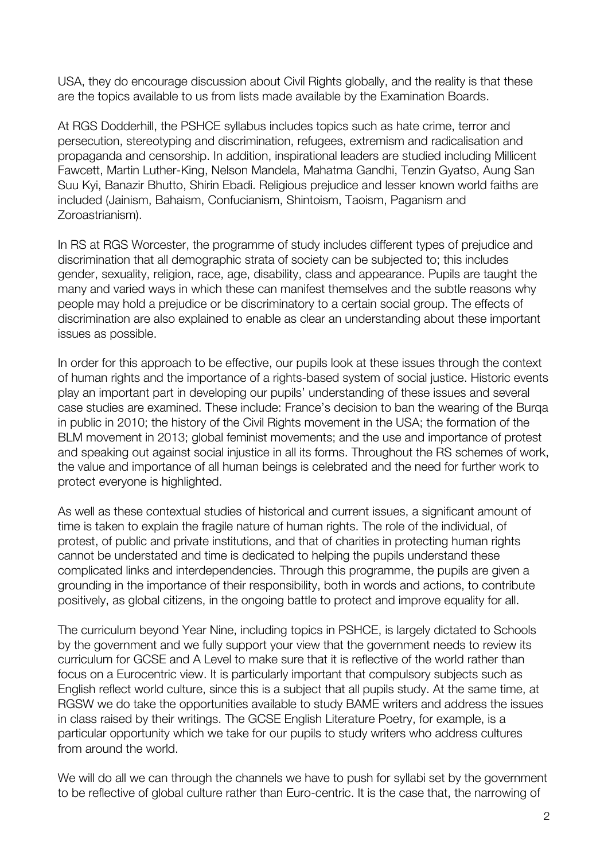USA, they do encourage discussion about Civil Rights globally, and the reality is that these are the topics available to us from lists made available by the Examination Boards.

At RGS Dodderhill, the PSHCE syllabus includes topics such as hate crime, terror and persecution, stereotyping and discrimination, refugees, extremism and radicalisation and propaganda and censorship. In addition, inspirational leaders are studied including Millicent Fawcett, Martin Luther-King, Nelson Mandela, Mahatma Gandhi, Tenzin Gyatso, Aung San Suu Kyi, Banazir Bhutto, Shirin Ebadi. Religious prejudice and lesser known world faiths are included (Jainism, Bahaism, Confucianism, Shintoism, Taoism, Paganism and Zoroastrianism).

In RS at RGS Worcester, the programme of study includes different types of prejudice and discrimination that all demographic strata of society can be subjected to; this includes gender, sexuality, religion, race, age, disability, class and appearance. Pupils are taught the many and varied ways in which these can manifest themselves and the subtle reasons why people may hold a prejudice or be discriminatory to a certain social group. The effects of discrimination are also explained to enable as clear an understanding about these important issues as possible.

In order for this approach to be effective, our pupils look at these issues through the context of human rights and the importance of a rights-based system of social justice. Historic events play an important part in developing our pupils' understanding of these issues and several case studies are examined. These include: France's decision to ban the wearing of the Burqa in public in 2010; the history of the Civil Rights movement in the USA; the formation of the BLM movement in 2013; global feminist movements; and the use and importance of protest and speaking out against social injustice in all its forms. Throughout the RS schemes of work, the value and importance of all human beings is celebrated and the need for further work to protect everyone is highlighted.

As well as these contextual studies of historical and current issues, a significant amount of time is taken to explain the fragile nature of human rights. The role of the individual, of protest, of public and private institutions, and that of charities in protecting human rights cannot be understated and time is dedicated to helping the pupils understand these complicated links and interdependencies. Through this programme, the pupils are given a grounding in the importance of their responsibility, both in words and actions, to contribute positively, as global citizens, in the ongoing battle to protect and improve equality for all.

The curriculum beyond Year Nine, including topics in PSHCE, is largely dictated to Schools by the government and we fully support your view that the government needs to review its curriculum for GCSE and A Level to make sure that it is reflective of the world rather than focus on a Eurocentric view. It is particularly important that compulsory subjects such as English reflect world culture, since this is a subject that all pupils study. At the same time, at RGSW we do take the opportunities available to study BAME writers and address the issues in class raised by their writings. The GCSE English Literature Poetry, for example, is a particular opportunity which we take for our pupils to study writers who address cultures from around the world.

We will do all we can through the channels we have to push for syllabi set by the government to be reflective of global culture rather than Euro-centric. It is the case that, the narrowing of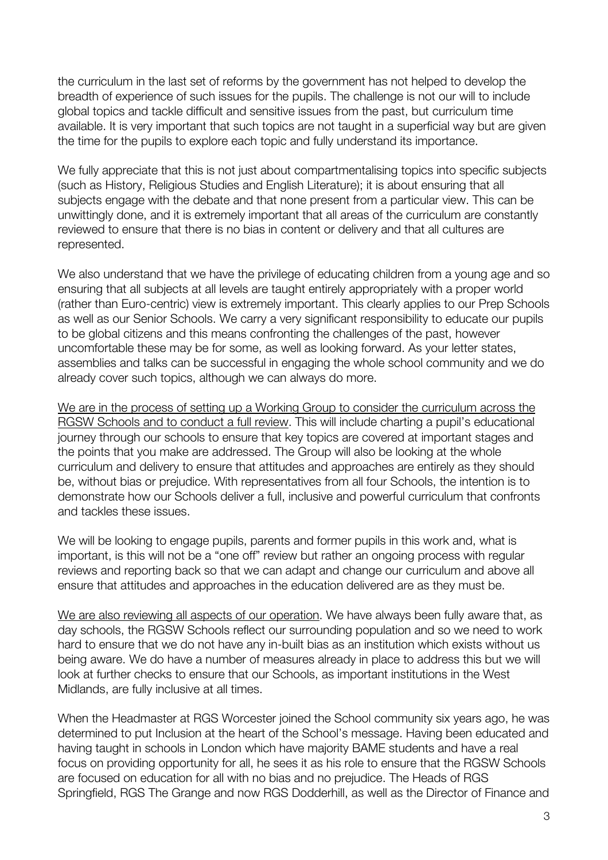the curriculum in the last set of reforms by the government has not helped to develop the breadth of experience of such issues for the pupils. The challenge is not our will to include global topics and tackle difficult and sensitive issues from the past, but curriculum time available. It is very important that such topics are not taught in a superficial way but are given the time for the pupils to explore each topic and fully understand its importance.

We fully appreciate that this is not just about compartmentalising topics into specific subjects (such as History, Religious Studies and English Literature); it is about ensuring that all subjects engage with the debate and that none present from a particular view. This can be unwittingly done, and it is extremely important that all areas of the curriculum are constantly reviewed to ensure that there is no bias in content or delivery and that all cultures are represented.

We also understand that we have the privilege of educating children from a young age and so ensuring that all subjects at all levels are taught entirely appropriately with a proper world (rather than Euro-centric) view is extremely important. This clearly applies to our Prep Schools as well as our Senior Schools. We carry a very significant responsibility to educate our pupils to be global citizens and this means confronting the challenges of the past, however uncomfortable these may be for some, as well as looking forward. As your letter states, assemblies and talks can be successful in engaging the whole school community and we do already cover such topics, although we can always do more.

We are in the process of setting up a Working Group to consider the curriculum across the RGSW Schools and to conduct a full review. This will include charting a pupil's educational journey through our schools to ensure that key topics are covered at important stages and the points that you make are addressed. The Group will also be looking at the whole curriculum and delivery to ensure that attitudes and approaches are entirely as they should be, without bias or prejudice. With representatives from all four Schools, the intention is to demonstrate how our Schools deliver a full, inclusive and powerful curriculum that confronts and tackles these issues.

We will be looking to engage pupils, parents and former pupils in this work and, what is important, is this will not be a "one off" review but rather an ongoing process with regular reviews and reporting back so that we can adapt and change our curriculum and above all ensure that attitudes and approaches in the education delivered are as they must be.

We are also reviewing all aspects of our operation. We have always been fully aware that, as day schools, the RGSW Schools reflect our surrounding population and so we need to work hard to ensure that we do not have any in-built bias as an institution which exists without us being aware. We do have a number of measures already in place to address this but we will look at further checks to ensure that our Schools, as important institutions in the West Midlands, are fully inclusive at all times.

When the Headmaster at RGS Worcester joined the School community six years ago, he was determined to put Inclusion at the heart of the School's message. Having been educated and having taught in schools in London which have majority BAME students and have a real focus on providing opportunity for all, he sees it as his role to ensure that the RGSW Schools are focused on education for all with no bias and no prejudice. The Heads of RGS Springfield, RGS The Grange and now RGS Dodderhill, as well as the Director of Finance and